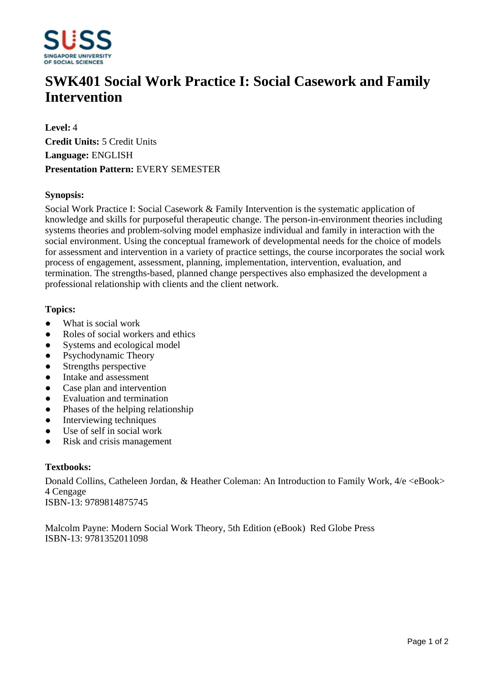

# **SWK401 Social Work Practice I: Social Casework and Family Intervention**

**Level:** 4 **Credit Units:** 5 Credit Units **Language:** ENGLISH **Presentation Pattern:** EVERY SEMESTER

### **Synopsis:**

Social Work Practice I: Social Casework & Family Intervention is the systematic application of knowledge and skills for purposeful therapeutic change. The person-in-environment theories including systems theories and problem-solving model emphasize individual and family in interaction with the social environment. Using the conceptual framework of developmental needs for the choice of models for assessment and intervention in a variety of practice settings, the course incorporates the social work process of engagement, assessment, planning, implementation, intervention, evaluation, and termination. The strengths-based, planned change perspectives also emphasized the development a professional relationship with clients and the client network.

#### **Topics:**

- What is social work
- ƔRoles of social workers and ethics
- Systems and ecological model
- Psychodynamic Theory
- Strengths perspective
- Intake and assessment
- Case plan and intervention
- Evaluation and termination
- Phases of the helping relationship
- Interviewing techniques
- Use of self in social work
- Risk and crisis management

#### **Textbooks:**

Donald Collins, Catheleen Jordan, & Heather Coleman: An Introduction to Family Work,  $4/e$  <eBook> 4 Cengage ISBN-13: 9789814875745

Malcolm Payne: Modern Social Work Theory, 5th Edition (eBook) Red Globe Press ISBN-13: 9781352011098